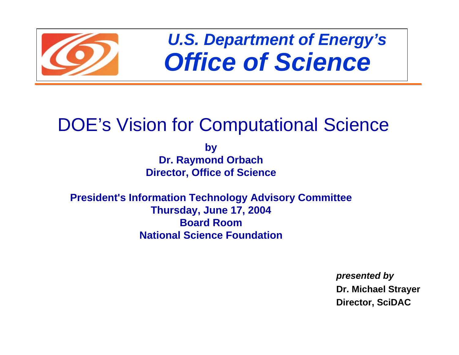

*U.S. Department of Energy's Office of Science*

# DOE's Vision for Computational Science

**by Dr. Raymond Orbach Director, Office of Science**

**President's Information Technology Advisory Committee Thursday, June 17, 2004 Board RoomNational Science Foundation**

> *presented by* **Dr. Michael Str ayer Director, SciDAC**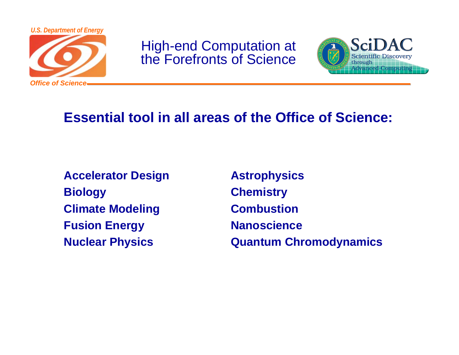

High-end Computation at the Forefronts of Science



#### **Essential tool in all areas of the Office of Science:**

**Accelerator Design Astrophysics Biology Chemistry Climate Modeling Combustion Fusion Energy Manoscience** 

**Nuclear Physics Quantum Chromodynamics**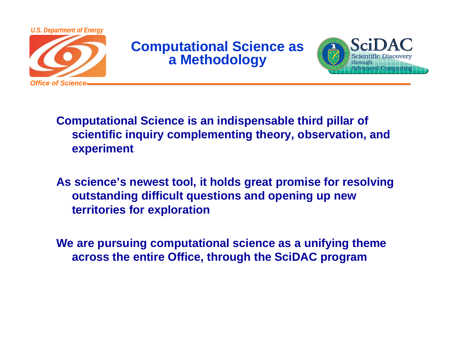

#### **Computational Science as a Methodology**



**Computational Science is an indispensable third pillar of scientific inquiry complementing theory, observation, and experiment**

**As science's newest tool, it holds great promise for resolving outstanding difficult questions and opening up new territories for exploration**

**We are pursuing computational science as a unifying theme across the entire Office, through the SciDAC program**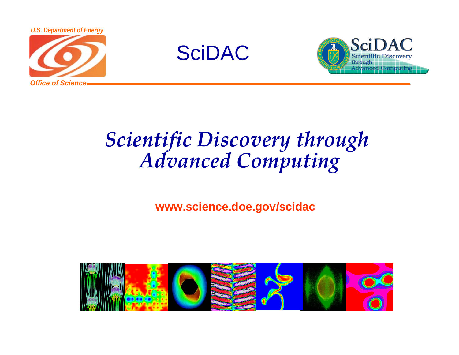





# *Scientific Discovery through Advanced Computing*

#### **www.science.doe.gov/scidac**

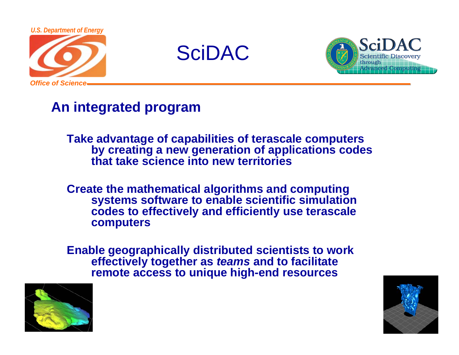

SciDAC



#### **An integrated program**

**Take advantage of capabilities of terascale computers by creating a new generation of applications codes that take science into new territories**

**Create the mathematical algorithms and computing systems software to enable scientific simulation codes to effectively and efficiently use terascale computers**

**Enable geographically distributed scientists to work effectively together as** *teams* **and to facilitate remote access to unique high-end resources**



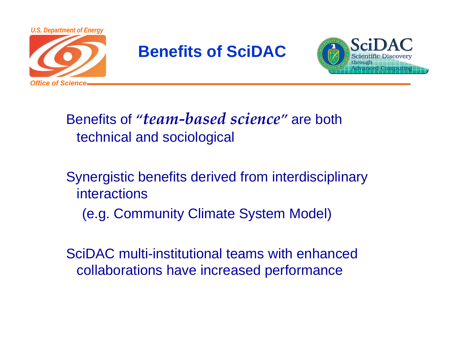

## **Benefits of SciDAC**



## Benefits of *"team-based science"* are both technical and sociological

Synergistic benefits derived from interdisciplinary interactions(e.g. Community Climate System Model)

SciDAC multi-institutional teams with enhanced collaborations have increased performance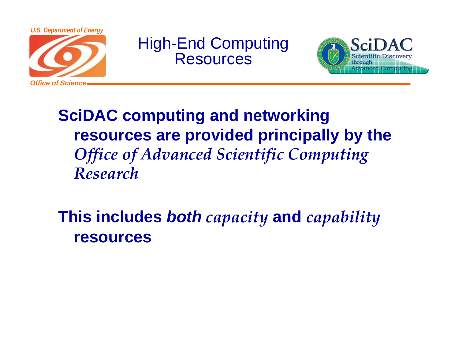

High-End Computing **Resources** 



## **SciDAC computing and networking resources are provided principally by the**  *Office of Advanced Scientific Computing Research*

**This includes** *both capacity* **and** *capability* **resources**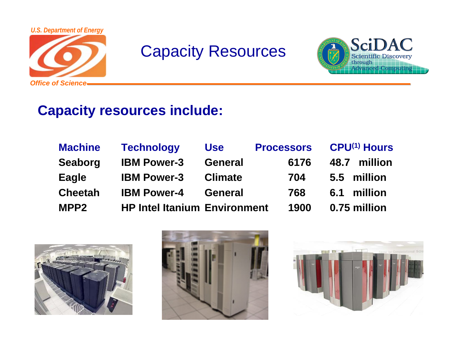

## Capacity Resources



#### **Capacity resources include:**

| <b>Machine</b>   | <b>Technology</b>                   | <b>Use</b>     | <b>Processors</b> | <b>CPU(1) Hours</b> |
|------------------|-------------------------------------|----------------|-------------------|---------------------|
| <b>Seaborg</b>   | <b>IBM Power-3</b>                  | <b>General</b> | 6176              | million<br>48.7     |
| Eagle            | <b>IBM Power-3</b>                  | <b>Climate</b> | 704               | million<br>5.5      |
| <b>Cheetah</b>   | <b>IBM Power-4</b>                  | <b>General</b> | 768               | million<br>6.1      |
| MPP <sub>2</sub> | <b>HP Intel Itanium Environment</b> |                | 1900              | 0.75 million        |





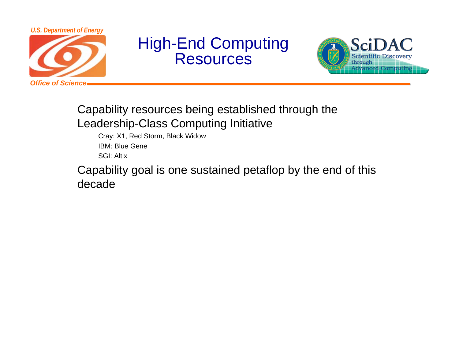

## High-End Computing Resources



#### Capability resources being established through the Leadership-Class Computing Initiative

Cray: X1, Red Storm, Black Widow IBM: Blue GeneSGI: Altix

Capability goal is one sustained petaflop by the end of this decade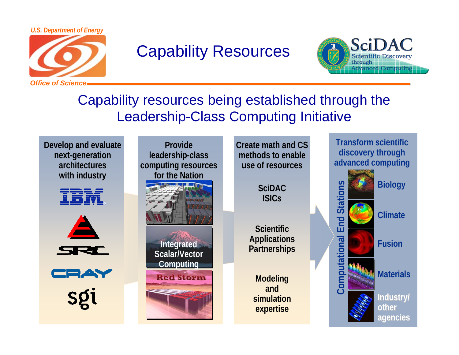

## Capability Resources



#### Capability resources being established through the Leadership-Class Computing Initiative

**Develop and evaluate next-generation architectureswith industry**





CRAY

Sgi

**Provide leadership-class computing resources for the Nation**



**Integrated Scalar/Vector Computing**



**Create math and CS methods to enableuse of resources**

> **SciDACISICs**

**Scientific Applications Partnerships**

**Modeling and simulation expertise**

**Computational End Stational End Stational End Stational Ending Reports Fusion**<br> **Computer Stational Property/**<br> **Industry/ Transform scientific discovery through advanced computing**

**Materials**

**otheragencies agencies**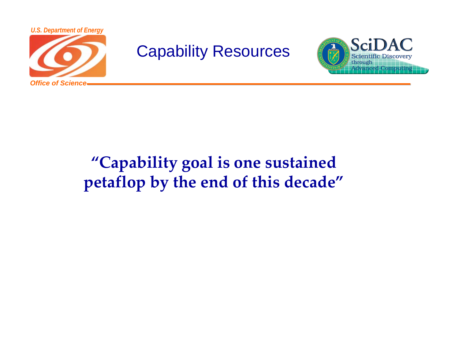

Capability Resources



## **"Capability goal is one sustained petaflop by the end of this decade"**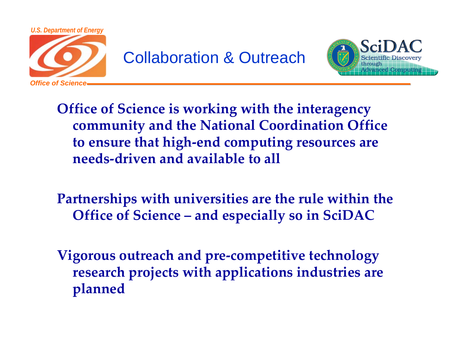

## Collaboration & Outreach



**Office of Science is working with the interagency community and the National Coordination Office to ensure that high-end computing resources are needs-driven and available to all**

**Partnerships with universities are the rule within the Office of Science – and especially so in SciDAC**

**Vigorous outreach and pre-competitive technology research projects with applications industries are planned**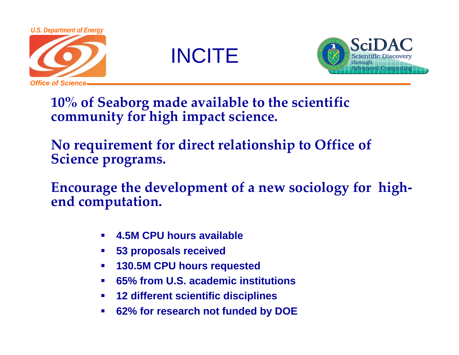





**10% of Seaborg made available to the scientific community for high impact science.** 

**No requirement for direct relationship to Office of Science programs.** 

**Encourage the development of a new sociology for highend computation.**

- $\mathcal{L}_{\mathcal{A}}$ **4.5M CPU hours available**
- $\blacksquare$ **53 proposals received**
- $\mathcal{L}_{\mathcal{A}}$ **130.5M CPU hours requested**
- $\blacksquare$ **65% from U.S. academic institutions**
- $\mathcal{L}_{\mathcal{A}}$ **12 different scientific disciplines**
- $\mathcal{L}_{\mathcal{A}}$ **62% for research not funded by DOE**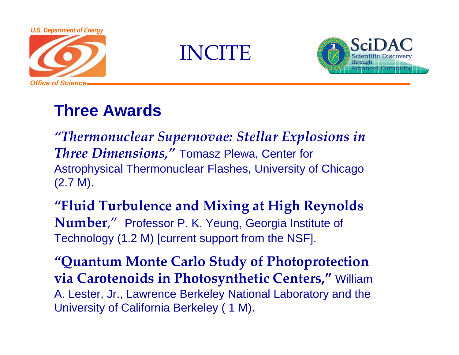

**INCITE** 



## **Three Awards**

*"Thermonuclear Supernovae: Stellar Explosions in Three Dimensions,"* Tomasz Plewa, Center for Astrophysical Thermonuclear Flashes, University of Chicago (2.7 M).

**"Fluid Turbulence and Mixing at High Reynolds Number**," Professor P. K. Yeung, Georgia Institute of Technology (1.2 M) [current support from the NSF].

**"Quantum Monte Carlo Study of Photoprotection via Carotenoids in Photosynthetic Centers,"** William A. Lester, Jr., Lawrence Berkeley National Laboratory and the University of California Berkeley ( 1 M).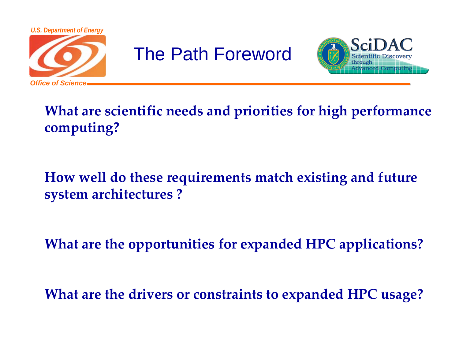

# The Path Foreword



## **What are scientific needs and priorities for high performance computing?**

### **How well do these requirements match existing and future system architectures ?**

**What are the opportunities for expanded HPC applications?** 

**What are the drivers or constraints to expanded HPC usage?**